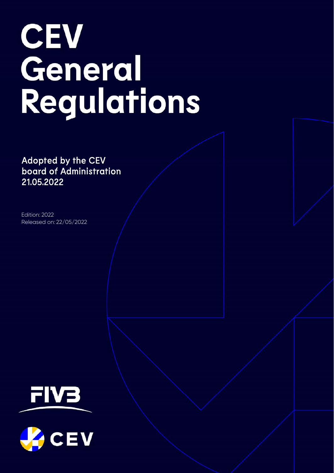# **CEV** General Regulations

Adopted by the CEV board of Administration 21.05.2022

Edition: 2022 Released on: 22/05/2022



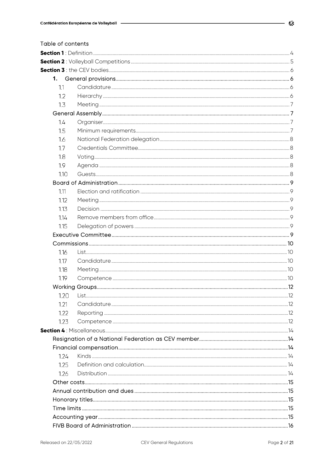| Table of contents |      |  |
|-------------------|------|--|
|                   |      |  |
|                   |      |  |
|                   |      |  |
|                   | 1.   |  |
|                   | 1.1  |  |
|                   | 1.2  |  |
|                   | 1.3  |  |
|                   |      |  |
|                   | 1.4  |  |
|                   | 1.5  |  |
|                   | 1.6  |  |
|                   | 1.7  |  |
|                   | 1.8  |  |
|                   | 1.9  |  |
|                   | 1.10 |  |
|                   |      |  |
|                   | 1.11 |  |
|                   | 1.12 |  |
|                   | 1.13 |  |
|                   | 1.14 |  |
|                   | 1.15 |  |
|                   |      |  |
|                   |      |  |
|                   | 1.16 |  |
|                   | 1.17 |  |
|                   | 1.18 |  |
|                   | 1.19 |  |
|                   |      |  |
|                   | 1.20 |  |
|                   | 1.21 |  |
|                   | 1.22 |  |
|                   | 1.23 |  |
|                   |      |  |
|                   |      |  |
|                   |      |  |
|                   | 1.24 |  |
|                   | 1.25 |  |
|                   | 1.26 |  |
|                   |      |  |
|                   |      |  |
|                   |      |  |
|                   |      |  |
|                   |      |  |
|                   |      |  |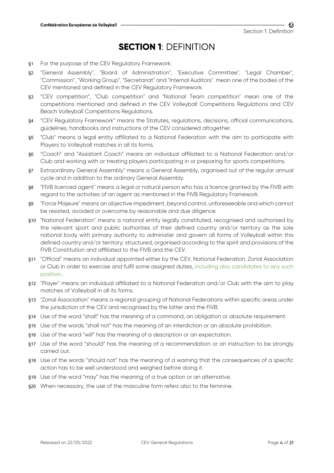## **SECTION 1**: DEFINITION

- §1 For the purpose of the CEV Regulatory Framework:
- §2 "General Assembly", "Board of Administration", "Executive Committee", "Legal Chamber", "Commission", "Working Group", "Secretariat" and "Internal Auditors" mean one of the bodies of the CEV mentioned and defined in the CEV Regulatory Framework.
- §3 "CEV competition", "Club competition" and "National Team competition" mean one of the competitions mentioned and defined in the CEV Volleyball Competitions Regulations and CEV Beach Volleyball Competitions Regulations.
- §4 "CEV Regulatory Framework" means the Statutes, regulations, decisions, official communications, guidelines, handbooks and instructions of the CEV considered altogether.
- §5 "Club" means a legal entity affiliated to a National Federation with the aim to participate with Players to Volleyball matches in all its forms.
- §6 "Coach" and "Assistant Coach" means an individual affiliated to a National Federation and/or Club and working with or treating players participating in or preparing for sports competitions.
- §7 Extraordinary General Assembly" means a General Assembly, organised out of the regular annual cycle and in addition to the ordinary General Assembly.
- §8 "FIVB licenced agent" means a legal or natural person who has a licence granted by the FIVB with regard to the activities of an agent as mentioned in the FIVB Regulatory Framework.
- §9 "Force Majeure" means an objective impediment, beyond control, unforeseeable and which cannot be resisted, avoided or overcome by reasonable and due diligence.
- §10 "National Federation" means a national entity legally constituted, recognised and authorised by the relevant sport and public authorities of their defined country and/or territory as the sole national body with primary authority to administer and govern all forms of Volleyball within this defined country and/or territory; structured, organised according to the spirit and provisions of the FIVB Constitution and affiliated to the FIVB and the CEV.
- §11 "Official" means an individual appointed either by the CEV, National Federation, Zonal Association or Club in order to exercise and fulfil some assigned duties, including also candidates to any such position..
- §12 "Player" means an individual affiliated to a National Federation and/or Club with the aim to play matches of Volleyball in all its forms.
- §13 "Zonal Association" means a regional grouping of National Federations within specific areas under the jurisdiction of the CEV and recognised by the latter and the FIVB.
- §14 Use of the word "shall" has the meaning of a command, an obligation or absolute requirement.
- §15 Use of the words "shall not" has the meaning of an interdiction or an absolute prohibition.
- §16 Use of the word "will" has the meaning of a description or an expectation.
- §17 Use of the word "should" has the meaning of a recommendation or an instruction to be strongly carried out.
- §18 Use of the words "should not" has the meaning of a warning that the consequences of a specific action has to be well understood and weighed before doing it.
- §19 Use of the word "may" has the meaning of a true option or an alternative.
- §20 When necessary, the use of the masculine form refers also to the feminine.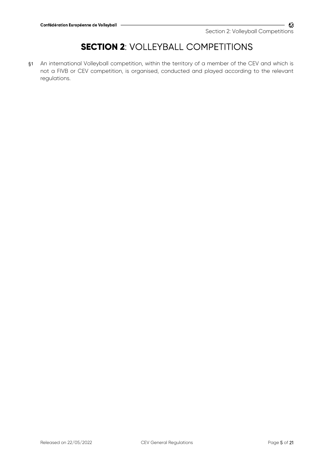# **SECTION 2: VOLLEYBALL COMPETITIONS**

§1 An international Volleyball competition, within the territory of a member of the CEV and which is not a FIVB or CEV competition, is organised, conducted and played according to the relevant regulations.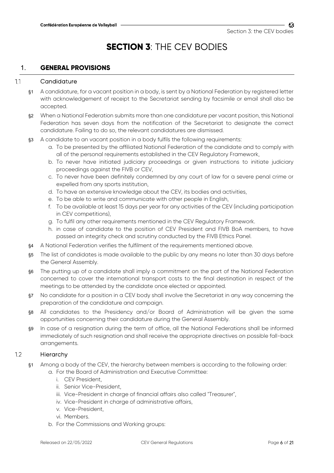# **SECTION 3**: THE CEV BODIES

## 1. **GENERAL PROVISIONS**

#### **Candidature**  $1.1$

- §1 A candidature, for a vacant position in a body, is sent by a National Federation by registered letter with acknowledgement of receipt to the Secretariat sending by facsimile or email shall also be accepted.
- §2 When a National Federation submits more than one candidature per vacant position, this National Federation has seven days from the notification of the Secretariat to designate the correct candidature. Failing to do so, the relevant candidatures are dismissed.
- §3 A candidate to an vacant position in a body fulfils the following requirements:
	- a. To be presented by the affiliated National Federation of the candidate and to comply with all of the personal requirements established in the CEV Regulatory Framework,
	- b. To never have initiated judiciary proceedings or given instructions to initiate judiciary proceedings against the FIVB or CEV,
	- c. To never have been definitely condemned by any court of law for a severe penal crime or expelled from any sports institution,
	- d. To have an extensive knowledge about the CEV, its bodies and activities,
	- e. To be able to write and communicate with other people in English,
	- f. To be available at least 15 days per year for any activities of the CEV (including participation in CEV competitions),
	- g. To fulfil any other requirements mentioned in the CEV Regulatory Framework.
	- h. in case of candidate to the position of CEV President and FIVB BoA members, to have passed an integrity check and scrutiny conducted by the FIVB Ethics Panel.
- §4 A National Federation verifies the fulfilment of the requirements mentioned above.
- §5 The list of candidates is made available to the public by any means no later than 30 days before the General Assembly.
- §6 The putting up of a candidate shall imply a commitment on the part of the National Federation concerned to cover the international transport costs to the final destination in respect of the meetings to be attended by the candidate once elected or appointed.
- §7 No candidate for a position in a CEV body shall involve the Secretariat in any way concerning the preparation of the candidature and campaign.
- §8 All candidates to the Presidency and/or Board of Administration will be given the same opportunities concerning their candidature during the General Assembly.
- §9 In case of a resignation during the term of office, all the National Federations shall be informed immediately of such resignation and shall receive the appropriate directives on possible fall-back arrangements.

#### $12$ Hierarchy

- §1 Among a body of the CEV, the hierarchy between members is according to the following order:
	- a. For the Board of Administration and Executive Committee:
		- i. CEV President
		- ii. Senior Vice-President,
		- iii. Vice-President in charge of financial affairs also called "Treasurer",
		- iv. Vice-President in charge of administrative affairs,
		- v. Vice-President,
		- vi. Members.
	- b. For the Commissions and Working groups: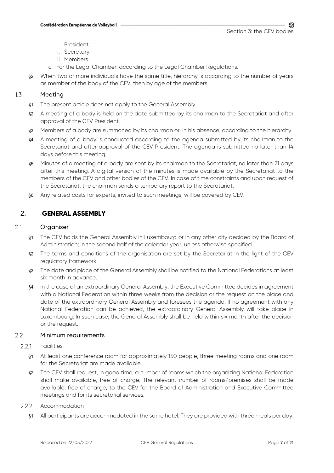- i. President,
- ii. Secretary,
- iii. Members.
- c. For the Legal Chamber: according to the Legal Chamber Regulations.
- §2 When two or more individuals have the same title, hierarchy is according to the number of years as member of the body of the CEV, then by age of the members.

#### $1.3$ Meeting

- §1 The present article does not apply to the General Assembly.
- §2 A meeting of a body is held on the date submitted by its chairman to the Secretariat and after approval of the CEV President.
- §3 Members of a body are summoned by its chairman or, in his absence, according to the hierarchy.
- §4 A meeting of a body is conducted according to the agenda submitted by its chairman to the Secretariat and after approval of the CEV President. The agenda is submitted no later than 14 days before this meeting.
- §5 Minutes of a meeting of a body are sent by its chairman to the Secretariat, no later than 21 days after this meeting. A digital version of the minutes is made available by the Secretariat to the members of the CEV and other bodies of the CEV. In case of time constraints and upon request of the Secretariat, the chairman sends a temporary report to the Secretariat.
- §6 Any related costs for experts, invited to such meetings, will be covered by CEV.

## 2. **GENERAL ASSEMBLY**

#### 2.1 Organiser

- §1 The CEV holds the General Assembly in Luxembourg or in any other city decided by the Board of Administration; in the second half of the calendar year, unless otherwise specified.
- §2 The terms and conditions of the organisation are set by the Secretariat in the light of the CEV regulatory framework.
- §3 The date and place of the General Assembly shall be notified to the National Federations at least six month in advance.
- §4 In the case of an extraordinary General Assembly, the Executive Committee decides in agreement with a National Federation within three weeks from the decision or the request on the place and date of the extraordinary General Assembly and foresees the agenda. If no agreement with any National Federation can be achieved, the extraordinary General Assembly will take place in Luxembourg. In such case, the General Assembly shall be held within six month after the decision or the request.

#### $2.2$ Minimum requirements

- $2.2.1$ Facilities
	- §1 At least one conference room for approximately 150 people, three meeting rooms and one room for the Secretariat are made available.
	- §2 The CEV shall request, in good time, a number of rooms which the organizing National Federation shall make available, free of charge. The relevant number of rooms/premises shall be made available, free of charge, to the CEV for the Board of Administration and Executive Committee meetings and for its secretarial services.
- $2.2.2$ Accommodation
	- §1 All participants are accommodated in the same hotel. They are provided with three meals per day.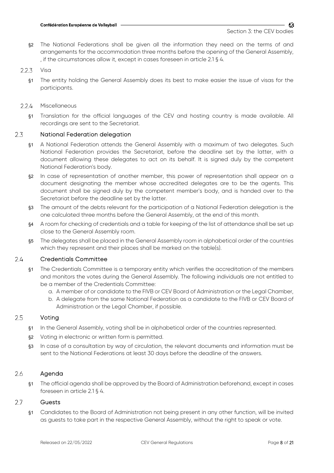§2 The National Federations shall be given all the information they need on the terms of and arrangements for the accommodation three months before the opening of the General Assembly, , if the circumstances allow it, except in cases foreseen in article 2.1 § 4.

#### $2.2.3$ Visa

- §1 The entity holding the General Assembly does its best to make easier the issue of visas for the participants.
- $224$ Miscellaneous
	- §1 Translation for the official languages of the CEV and hosting country is made available. All recordings are sent to the Secretariat.

#### 2.3 National Federation delegation

- §1 A National Federation attends the General Assembly with a maximum of two delegates. Such National Federation provides the Secretariat, before the deadline set by the latter, with a document allowing these delegates to act on its behalf. It is signed duly by the competent National Federation's body.
- §2 In case of representation of another member, this power of representation shall appear on a document designating the member whose accredited delegates are to be the agents. This document shall be signed duly by the competent member's body, and is handed over to the Secretariat before the deadline set by the latter.
- §3 The amount of the debts relevant for the participation of a National Federation delegation is the one calculated three months before the General Assembly, at the end of this month.
- §4 A room for checking of credentials and a table for keeping of the list of attendance shall be set up close to the General Assembly room.
- §5 The delegates shall be placed in the General Assembly room in alphabetical order of the countries which they represent and their places shall be marked on the table(s).

#### $2.4$ Credentials Committee

- §1 The Credentials Committee is a temporary entity which verifies the accreditation of the members and monitors the votes during the General Assembly. The following individuals are not entitled to be a member of the Credentials Committee:
	- a. A member of or candidate to the FIVB or CEV Board of Administration or the Legal Chamber,
	- b. A delegate from the same National Federation as a candidate to the FIVB or CEV Board of Administration or the Legal Chamber, if possible.

#### 2.5 Voting

- §1 In the General Assembly, voting shall be in alphabetical order of the countries represented.
- §2 Voting in electronic or written form is permitted.
- §3 In case of a consultation by way of circulation, the relevant documents and information must be sent to the National Federations at least 30 days before the deadline of the answers.

#### 2.6 Agenda

§1 The official agenda shall be approved by the Board of Administration beforehand, except in cases foreseen in article 2.1 § 4.

#### 2.7 Guests

§1 Candidates to the Board of Administration not being present in any other function, will be invited as guests to take part in the respective General Assembly, without the right to speak or vote.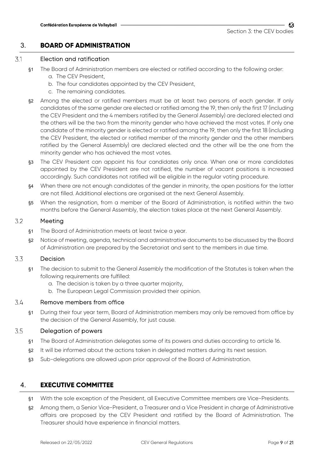## 3. **BOARD OF ADMINISTRATION**

#### 3.1 Election and ratification

- §1 The Board of Administration members are elected or ratified according to the following order: a. The CEV President,
	- b. The four candidates appointed by the CEV President,
	- c. The remaining candidates.
- §2 Among the elected or ratified members must be at least two persons of each gender. If only candidates of the same gender are elected or ratified among the 19, then only the first 17 (including the CEV President and the 4 members ratified by the General Assembly) are declared elected and the others will be the two from the minority gender who have achieved the most votes. If only one candidate of the minority gender is elected or ratified among the 19, then only the first 18 (including the CEV President, the elected or ratified member of the minority gender and the other members ratified by the General Assembly) are declared elected and the other will be the one from the minority gender who has achieved the most votes.
- §3 The CEV President can appoint his four candidates only once. When one or more candidates appointed by the CEV President are not ratified, the number of vacant positions is increased accordingly. Such candidates not ratified will be eligible in the regular voting procedure.
- §4 When there are not enough candidates of the gender in minority, the open positions for the latter are not filled. Additional elections are organised at the next General Assembly.
- §5 When the resignation, from a member of the Board of Administration, is notified within the two months before the General Assembly, the election takes place at the next General Assembly.

#### 32 Meeting

- §1 The Board of Administration meets at least twice a year.
- §2 Notice of meeting, agenda, technical and administrative documents to be discussed by the Board of Administration are prepared by the Secretariat and sent to the members in due time.

#### 3.3 Decision

- §1 The decision to submit to the General Assembly the modification of the Statutes is taken when the following requirements are fulfilled:
	- a. The decision is taken by a three quarter majority,
	- b. The European Legal Commission provided their opinion.

#### 3.4 Remove members from office

§1 During their four year term, Board of Administration members may only be removed from office by the decision of the General Assembly, for just cause.

#### 3.5 Delegation of powers

- §1 The Board of Administration delegates some of its powers and duties according to article 16.
- §2 It will be informed about the actions taken in delegated matters during its next session.
- §3 Sub-delegations are allowed upon prior approval of the Board of Administration.

## 4. **EXECUTIVE COMMITTEE**

- §1 With the sole exception of the President, all Executive Committee members are Vice-Presidents.
- §2 Among them, a Senior Vice-President, a Treasurer and a Vice President in charge of Administrative affairs are proposed by the CEV President and ratified by the Board of Administration. The Treasurer should have experience in financial matters.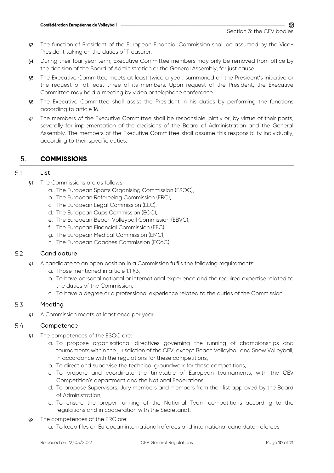- §3 The function of President of the European Financial Commission shall be assumed by the Vice-President taking on the duties of Treasurer.
- §4 During their four year term, Executive Committee members may only be removed from office by the decision of the Board of Administration or the General Assembly, for just cause.
- §5 The Executive Committee meets at least twice a year, summoned on the President's initiative or the request of at least three of its members. Upon request of the President, the Executive Committee may hold a meeting by video or telephone conference.
- §6 The Executive Committee shall assist the President in his duties by performing the functions according to article 16.
- §7 The members of the Executive Committee shall be responsible jointly or, by virtue of their posts, severally for implementation of the decisions of the Board of Administration and the General Assembly. The members of the Executive Committee shall assume this responsibility individually, according to their specific duties.

## 5. **COMMISSIONS**

#### 5.1 List

- §1 The Commissions are as follows:
	- a. The European Sports Organising Commission (ESOC),
	- b. The European Refereeing Commission (ERC),
	- c. The European Legal Commission (ELC),
	- d. The European Cups Commission (ECC),
	- e. The European Beach Volleyball Commission (EBVC),
	- f. The European Financial Commission (EFC),
	- g. The European Medical Commission (EMC),
	- h. The European Coaches Commission (ECoC).

#### 5.2 **Candidature**

- §1 A candidate to an open position in a Commission fulfils the following requirements:
	- a. Those mentioned in article 1.1 §3,
	- b. To have personal national or international experience and the required expertise related to the duties of the Commission,
	- c. To have a degree or a professional experience related to the duties of the Commission.

#### 5.3 Meeting

§1 A Commission meets at least once per year.

#### 5.4 **Competence**

- §1 The competences of the ESOC are:
	- a. To propose organisational directives governing the running of championships and tournaments within the jurisdiction of the CEV, except Beach Volleyball and Snow Volleyball, in accordance with the regulations for these competitions,
	- b. To direct and supervise the technical groundwork for these competitions,
	- c. To prepare and coordinate the timetable of European tournaments, with the CEV Competition's department and the National Federations,
	- d. To propose Supervisors, Jury members and members from their list approved by the Board of Administration,
	- e. To ensure the proper running of the National Team competitions according to the regulations and in cooperation with the Secretariat.
- §2 The competences of the ERC are:
	- a. To keep files on European international referees and international candidate-referees,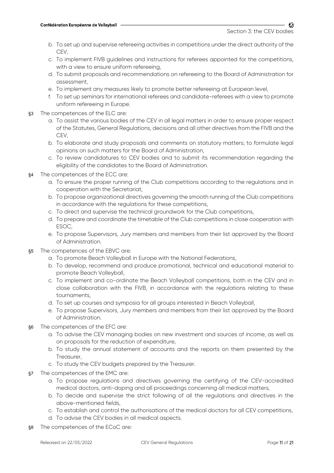CZ.

- b. To set up and supervise refereeing activities in competitions under the direct authority of the CEV,
- c. To implement FIVB guidelines and instructions for referees appointed for the competitions, with a view to ensure uniform refereeing,
- d. To submit proposals and recommendations on refereeing to the Board of Administration for assessment,
- e. To implement any measures likely to promote better refereeing at European level,
- f. To set up seminars for international referees and candidate-referees with a view to promote uniform refereeing in Europe.
- §3 The competences of the ELC are:
	- a. To assist the various bodies of the CEV in all legal matters in order to ensure proper respect of the Statutes, General Regulations, decisions and all other directives from the FIVB and the **CFV**
	- b. To elaborate and study proposals and comments on statutory matters; to formulate legal opinions on such matters for the Board of Administration,
	- c. To review candidatures to CEV bodies and to submit its recommendation regarding the eligibility of the candidates to the Board of Administration.
- §4 The competences of the ECC are:
	- a. To ensure the proper running of the Club competitions according to the regulations and in cooperation with the Secretariat,
	- b. To propose organizational directives governing the smooth running of the Club competitions in accordance with the regulations for these competitions,
	- c. To direct and supervise the technical groundwork for the Club competitions,
	- d. To prepare and coordinate the timetable of the Club competitions in close cooperation with ESOC,
	- e. To propose Supervisors, Jury members and members from their list approved by the Board of Administration.
- §5 The competences of the EBVC are:
	- a. To promote Beach Volleyball in Europe with the National Federations,
	- b. To develop, recommend and produce promotional, technical and educational material to promote Beach Volleyball,
	- c. To implement and co-ordinate the Beach Volleyball competitions, both in the CEV and in close collaboration with the FIVB, in accordance with the regulations relating to these tournaments,
	- d. To set up courses and symposia for all groups interested in Beach Volleyball,
	- e. To propose Supervisors, Jury members and members from their list approved by the Board of Administration.
- §6 The competences of the EFC are:
	- a. To advise the CEV managing bodies on new investment and sources of income, as well as on proposals for the reduction of expenditure,
	- b. To study the annual statement of accounts and the reports on them presented by the Treasurer,
	- c. To study the CEV budgets prepared by the Treasurer.
- §7 The competences of the EMC are:
	- a. To propose regulations and directives governing the certifying of the CEV-accredited medical doctors, anti-doping and all proceedings concerning all medical matters,
	- b. To decide and supervise the strict following of all the regulations and directives in the above-mentioned fields,
	- c. To establish and control the authorisations of the medical doctors for all CEV competitions,
	- d. To advise the CEV bodies in all medical aspects.
- §8 The competences of the ECoC are: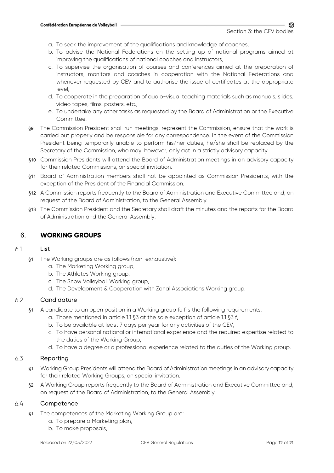- a. To seek the improvement of the qualifications and knowledge of coaches,
- b. To advise the National Federations on the setting-up of national programs aimed at improving the qualifications of national coaches and instructors,
- c. To supervise the organisation of courses and conferences aimed at the preparation of instructors, monitors and coaches in cooperation with the National Federations and whenever requested by CEV and to authorise the issue of certificates at the appropriate level,
- d. To cooperate in the preparation of audio-visual teaching materials such as manuals, slides, video tapes, films, posters, etc.,
- e. To undertake any other tasks as requested by the Board of Administration or the Executive Committee.
- §9 The Commission President shall run meetings, represent the Commission, ensure that the work is carried out properly and be responsible for any correspondence. In the event of the Commission President being temporarily unable to perform his/her duties, he/she shall be replaced by the Secretary of the Commission, who may, however, only act in a strictly advisory capacity.
- §10 Commission Presidents will attend the Board of Administration meetings in an advisory capacity for their related Commissions, on special invitation.
- §11 Board of Administration members shall not be appointed as Commission Presidents, with the exception of the President of the Financial Commission.
- §12 A Commission reports frequently to the Board of Administration and Executive Committee and, on request of the Board of Administration, to the General Assembly.
- §13 The Commission President and the Secretary shall draft the minutes and the reports for the Board of Administration and the General Assembly.

## 6. **WORKING GROUPS**

#### 6.1 List

- §1 The Working groups are as follows (non-exhaustive):
	- a. The Marketing Working group,
	- b. The Athletes Working group,
	- c. The Snow Volleyball Working group,
	- d. The Development & Cooperation with Zonal Associations Working group.

#### $6.2$ **Candidature**

- §1 A candidate to an open position in a Working group fulfils the following requirements:
	- a. Those mentioned in article 1.1 §3 at the sole exception of article 1.1 §3 f,
	- b. To be available at least 7 days per year for any activities of the CEV,
	- c. To have personal national or international experience and the required expertise related to the duties of the Working Group,
	- d. To have a degree or a professional experience related to the duties of the Working group.

#### 6.3 Reporting

- §1 Working Group Presidents will attend the Board of Administration meetings in an advisory capacity for their related Working Groups, on special invitation.
- §2 A Working Group reports frequently to the Board of Administration and Executive Committee and, on request of the Board of Administration, to the General Assembly.

#### 6.4 **Competence**

- §1 The competences of the Marketing Working Group are:
	- a. To prepare a Marketing plan,
	- b. To make proposals,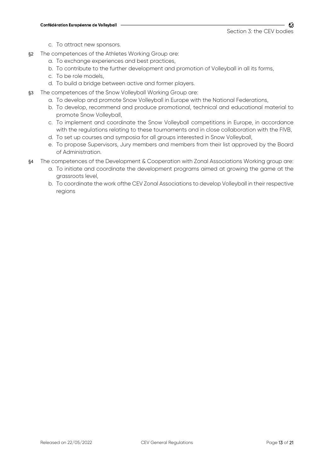- c. To attract new sponsors.
- §2 The competences of the Athletes Working Group are:
	- a. To exchange experiences and best practices,
	- b. To contribute to the further development and promotion of Volleyball in all its forms,
	- c. To be role models,
	- d. To build a bridge between active and former players.
- §3 The competences of the Snow Volleyball Working Group are:
	- a. To develop and promote Snow Volleyball in Europe with the National Federations,
	- b. To develop, recommend and produce promotional, technical and educational material to promote Snow Volleyball,
	- c. To implement and coordinate the Snow Volleyball competitions in Europe, in accordance with the regulations relating to these tournaments and in close collaboration with the FIVB,
	- d. To set up courses and symposia for all groups interested in Snow Volleyball,
	- e. To propose Supervisors, Jury members and members from their list approved by the Board of Administration.
- §4 The competences of the Development & Cooperation with Zonal Associations Working group are:
	- a. To initiate and coordinate the development programs aimed at growing the game at the grassroots level,
	- b. To coordinate the work ofthe CEV Zonal Associations to develop Volleyball in their respective regions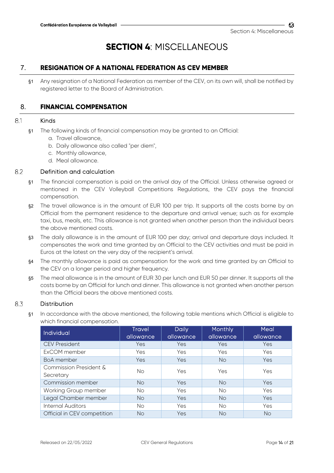# **SECTION 4**: MISCELLANEOUS

## 7. **RESIGNATION OF A NATIONAL FEDERATION AS CEV MEMBER**

§1 Any resignation of a National Federation as member of the CEV, on its own will, shall be notified by registered letter to the Board of Administration.

## 8. **FINANCIAL COMPENSATION**

#### Kinds 8.1

- §1 The following kinds of financial compensation may be granted to an Official:
	- a. Travel allowance,
	- b. Daily allowance also called "per diem",
	- c. Monthly allowance,
	- d. Meal allowance.

#### 82 Definition and calculation

- §1 The financial compensation is paid on the arrival day of the Official. Unless otherwise agreed or mentioned in the CEV Volleyball Competitions Regulations, the CEV pays the financial compensation.
- §2 The travel allowance is in the amount of EUR 100 per trip. It supports all the costs borne by an Official from the permanent residence to the departure and arrival venue; such as for example taxi, bus, meals, etc. This allowance is not granted when another person than the individual bears the above mentioned costs.
- §3 The daily allowance is in the amount of EUR 100 per day; arrival and departure days included. It compensates the work and time granted by an Official to the CEV activities and must be paid in Euros at the latest on the very day of the recipient's arrival.
- §4 The monthly allowance is paid as compensation for the work and time granted by an Official to the CEV on a longer period and higher frequency.
- §5 The meal allowance is in the amount of EUR 30 per lunch and EUR 50 per dinner. It supports all the costs borne by an Official for lunch and dinner. This allowance is not granted when another person than the Official bears the above mentioned costs.

#### 8.3 Distribution

§1 In accordance with the above mentioned, the following table mentions which Official is eligible to which financial compensation.

| <b>Individual</b>                   | <b>Travel</b><br>allowance | <b>Daily</b><br>allowance | <b>Monthly</b><br>allowance | Meal<br>allowance |
|-------------------------------------|----------------------------|---------------------------|-----------------------------|-------------------|
| <b>CEV President</b>                | <b>Yes</b>                 | <b>Yes</b>                | Yes                         | Yes               |
| ExCOM member                        | Yes                        | <b>Yes</b>                | <b>Yes</b>                  | Yes               |
| BoA member                          | <b>Yes</b>                 | <b>Yes</b>                | <b>No</b>                   | Yes               |
| Commission President &<br>Secretary | No.                        | Yes                       | Yes                         | Yes               |
| Commission member                   | <b>No</b>                  | <b>Yes</b>                | <b>No</b>                   | Yes               |
| Working Group member                | No.                        | <b>Yes</b>                | No.                         | Yes               |
| Legal Chamber member                | <b>No</b>                  | Yes                       | <b>No</b>                   | Yes               |
| Internal Auditors                   | No.                        | Yes                       | No.                         | Yes               |
| Official in CEV competition         | No                         | Yes                       | No                          | <b>No</b>         |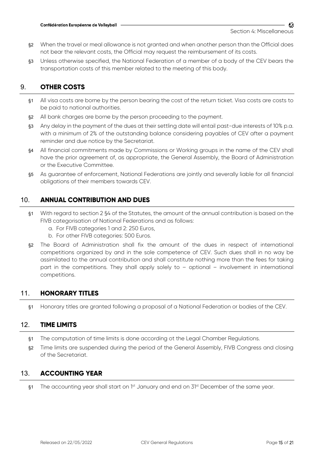- §2 When the travel or meal allowance is not granted and when another person than the Official does not bear the relevant costs, the Official may request the reimbursement of its costs.
- §3 Unless otherwise specified, the National Federation of a member of a body of the CEV bears the transportation costs of this member related to the meeting of this body.

## 9. **OTHER COSTS**

- §1 All visa costs are borne by the person bearing the cost of the return ticket. Visa costs are costs to be paid to national authorities.
- §2 All bank charges are borne by the person proceeding to the payment.
- §3 Any delay in the payment of the dues at their settling date will entail past-due interests of 10% p.a. with a minimum of 2% of the outstanding balance considering payables of CEV after a payment reminder and due notice by the Secretariat.
- §4 All financial commitments made by Commissions or Working groups in the name of the CEV shall have the prior agreement of, as appropriate, the General Assembly, the Board of Administration or the Executive Committee.
- §5 As guarantee of enforcement, National Federations are jointly and severally liable for all financial obligations of their members towards CEV.

## 10. **ANNUAL CONTRIBUTION AND DUES**

- §1 With regard to section 2 §4 of the Statutes, the amount of the annual contribution is based on the FIVB categorisation of National Federations and as follows:
	- a. For FIVB categories 1 and 2: 250 Euros,
	- b. For other FIVB categories: 500 Euros.
- §2 The Board of Administration shall fix the amount of the dues in respect of international competitions organized by and in the sole competence of CEV. Such dues shall in no way be assimilated to the annual contribution and shall constitute nothing more than the fees for taking part in the competitions. They shall apply solely to – optional – involvement in international competitions.

## 11. **HONORARY TITLES**

§1 Honorary titles are granted following a proposal of a National Federation or bodies of the CEV.

## 12. **TIME LIMITS**

- §1 The computation of time limits is done according ot the Legal Chamber Regulations.
- §2 Time limits are suspended during the period of the General Assembly, FIVB Congress and closing of the Secretariat.

## 13. **ACCOUNTING YEAR**

§1 The accounting year shall start on  $1<sup>st</sup>$  January and end on  $3<sup>1st</sup>$  December of the same year.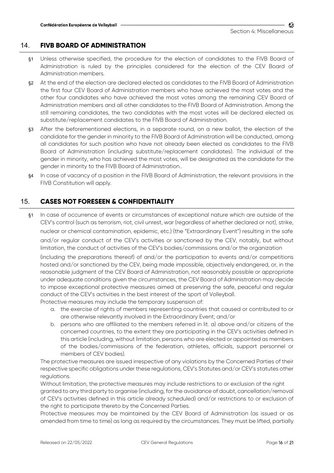## 14. **FIVB BOARD OF ADMINISTRATION**

- §1 Unless otherwise specified, the procedure for the election of candidates to the FIVB Board of Administration is ruled by the principles considered for the election of the CEV Board of Administration members.
- §2 At the end of the election are declared elected as candidates to the FIVB Board of Administration the first four CEV Board of Administration members who have achieved the most votes and the other four candidates who have achieved the most votes among the remaining CEV Board of Administration members and all other candidates to the FIVB Board of Administration. Among the still remaining candidates, the two candidates with the most votes will be declared elected as substitute/replacement candidates to the FIVB Board of Administration.
- §3 After the beforementioned elections, in a separate round, on a new ballot, the election of the candidate for the gender in minority to the FIVB Board of Administration will be conducted, among all candidates for such position who have not already been elected as candidates to the FIVB Board of Administration (including substitute/replacement candidates). The individual of the gender in minority, who has achieved the most votes, will be designated as the candidate for the gender in minority to the FIVB Board of Administration..
- §4 In case of vacancy of a position in the FIVB Board of Administration, the relevant provisions in the FIVB Constitution will apply.

## 15. **CASES NOT FORESEEN & CONFIDENTIALITY**

§1 In case of occurrence of events or circumstances of exceptional nature which are outside of the CEV's control (such as terrorism, riot, civil unrest, war (regardless of whether declared or not), strike, nuclear or chemical contamination, epidemic, etc.) (the "Extraordinary Event") resulting in the safe and/or regular conduct of the CEV's activities or sanctioned by the CEV, notably, but without limitation, the conduct of activities of the CEV's bodies/commissions and/or the organization

(including the preparations thereof) of and/or the participation to events and/or competitions hosted and/or sanctioned by the CEV, being made impossible, objectively endangered, or, in the reasonable judgment of the CEV Board of Administration, not reasonably possible or appropriate under adequate conditions given the circumstances, the CEV Board of Administration may decide to impose exceptional protective measures aimed at preserving the safe, peaceful and regular conduct of the CEV's activities in the best interest of the sport of Volleyball.

Protective measures may include the temporary suspension of:

- a. the exercise of rights of members representing countries that caused or contributed to or are otherwise relevantly involved in the Extraordinary Event; and/or
- b. persons who are affiliated to the members referred in lit. a) above and/or citizens of the concerned countries, to the extent they are participating in the CEV's activities defined in this article (including, without limitation, persons who are elected or appointed as members of the bodies/commissions of the federation, athletes, officials, support personnel or members of CEV bodies).

The protective measures are issued irrespective of any violations by the Concerned Parties of their respective specific obligations under these regulations, CEV's Statutes and/or CEV's statutes other regulations.

Without limitation, the protective measures may include restrictions to or exclusion of the right granted to any third party to organise (including, for the avoidance of doubt, cancellation/removal of CEV's activities defined in this article already scheduled) and/or restrictions to or exclusion of the right to participate thereto by the Concerned Parties.

Protective measures may be maintained by the CEV Board of Administration (as issued or as amended from time to time) as long as required by the circumstances. They must be lifted, partially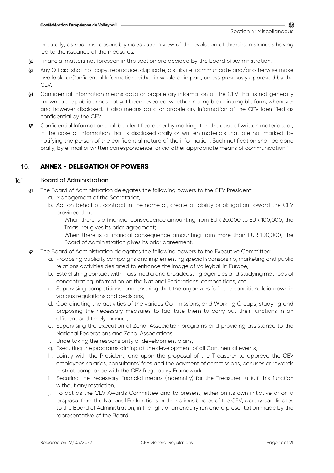or totally, as soon as reasonably adequate in view of the evolution of the circumstances having led to the issuance of the measures.

- §2 Financial matters not foreseen in this section are decided by the Board of Administration.
- §3 Any Official shall not copy, reproduce, duplicate, distribute, communicate and/or otherwise make available a Confidential Information, either in whole or in part, unless previously approved by the CEV.
- §4 Confidential Information means data or proprietary information of the CEV that is not generally known to the public or has not yet been revealed, whether in tangible or intangible form, whenever and however disclosed. It also means data or proprietary information of the CEV identified as confidential by the CEV.
- §5 Confidential Information shall be identified either by marking it, in the case of written materials, or, in the case of information that is disclosed orally or written materials that are not marked, by notifying the person of the confidential nature of the information. Such notification shall be done orally, by e-mail or written correspondence, or via other appropriate means of communication."

## 16. **ANNEX - DELEGATION OF POWERS**

#### 16.1 Board of Administration

- §1 The Board of Administration delegates the following powers to the CEV President:
	- a. Management of the Secretariat,
	- b. Act on behalf of, contract in the name of, create a liability or obligation toward the CEV provided that:
		- i. When there is a financial consequence amounting from EUR 20,000 to EUR 100,000, the Treasurer gives its prior agreement;
		- ii. When there is a financial consequence amounting from more than EUR 100,000, the Board of Administration gives its prior agreement.
- §2 The Board of Administration delegates the following powers to the Executive Committee:
	- a. Proposing publicity campaigns and implementing special sponsorship, marketing and public relations activities designed to enhance the image of Volleyball in Europe,
	- b. Establishing contact with mass media and broadcasting agencies and studying methods of concentrating information on the National Federations, competitions, etc.,
	- c. Supervising competitions, and ensuring that the organizers fulfil the conditions laid down in various regulations and decisions,
	- d. Coordinating the activities of the various Commissions, and Working Groups, studying and proposing the necessary measures to facilitate them to carry out their functions in an efficient and timely manner,
	- e. Supervising the execution of Zonal Association programs and providing assistance to the National Federations and Zonal Associations,
	- f. Undertaking the responsibility of development plans,
	- g. Executing the programs aiming at the development of all Continental events,
	- h. Jointly with the President, and upon the proposal of the Treasurer to approve the CEV employees salaries, consultants' fees and the payment of commissions, bonuses or rewards in strict compliance with the CEV Regulatory Framework,
	- i. Securing the necessary financial means (indemnity) for the Treasurer tu fulfil his function without any restriction,
	- j. To act as the CEV Awards Committee and to present, either on its own initiative or on a proposal from the National Federations or the various bodies of the CEV, worthy candidates to the Board of Administration, in the light of an enquiry run and a presentation made by the representative of the Board.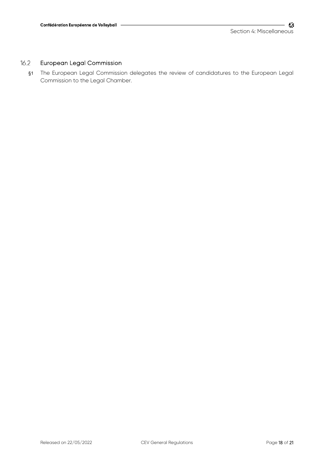#### 16.2 European Legal Commission

§1 The European Legal Commission delegates the review of candidatures to the European Legal Commission to the Legal Chamber.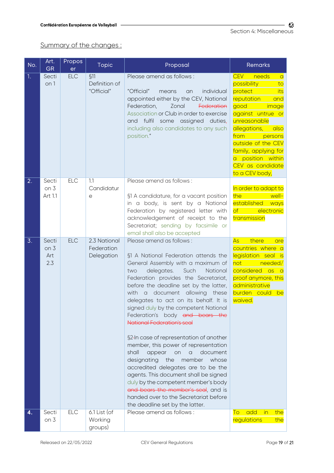Summary of the changes :

| No. | Art.<br><b>GR</b>                      | Propos<br>er | <b>Topic</b>                             | Proposal                                                                                                                                                                                                                                                                                                                                                                                                                                                                                                                                                                                                                                                                                                                                                                                                            | <b>Remarks</b>                                                                                                                                                                                                                                                                                        |
|-----|----------------------------------------|--------------|------------------------------------------|---------------------------------------------------------------------------------------------------------------------------------------------------------------------------------------------------------------------------------------------------------------------------------------------------------------------------------------------------------------------------------------------------------------------------------------------------------------------------------------------------------------------------------------------------------------------------------------------------------------------------------------------------------------------------------------------------------------------------------------------------------------------------------------------------------------------|-------------------------------------------------------------------------------------------------------------------------------------------------------------------------------------------------------------------------------------------------------------------------------------------------------|
| 1.  | Secti<br>on 1                          | <b>ELC</b>   | \$11<br>Definition of<br>"Official"      | Please amend as follows:<br>"Official"<br>individual<br>means<br>an<br>appointed either by the CEV, National<br>Zonal<br>Federation,<br>Federation<br>Association or Club in order to exercise<br>and fulfil<br>some assigned<br>duties,<br>including also candidates to any such<br>position."                                                                                                                                                                                                                                                                                                                                                                                                                                                                                                                     | <b>CEV</b><br>needs<br>$\alpha$<br>possibility<br>to<br>protect<br>its<br>reputation<br>and<br>good<br>image<br>against untrue or<br>unreasonable<br>allegations,<br>also<br>from<br>persons<br>outside of the CEV<br>family, applying for<br>a position within<br>CEV as candidate<br>to a CEV body, |
| 2.  | Secti                                  | <b>ELC</b>   | 1.1                                      | Please amend as follows:                                                                                                                                                                                                                                                                                                                                                                                                                                                                                                                                                                                                                                                                                                                                                                                            |                                                                                                                                                                                                                                                                                                       |
|     | on <sub>3</sub><br>Art 1.1             |              | Candidatur<br>е                          | §1 A candidature, for a vacant position<br>in a body, is sent by a National<br>Federation by registered letter with<br>acknowledgement of receipt to the<br>Secretariat; sending by facsimile or<br>email shall also be accepted                                                                                                                                                                                                                                                                                                                                                                                                                                                                                                                                                                                    | In order to adapt to<br>the<br>well-<br>established<br>ways<br>electronic<br>$\circ f$<br>transmission                                                                                                                                                                                                |
| 3.  | Secti<br>on <sub>3</sub><br>Art<br>2.3 | <b>ELC</b>   | 2.3 National<br>Federation<br>Delegation | Please amend as follows:<br>§1 A National Federation attends the<br>General Assembly with a maximum of<br>delegates.<br>Such<br>National<br>two<br>Federation provides the Secretariat,<br>before the deadline set by the latter,<br>with a document allowing<br>these<br>delegates to act on its behalf. It is<br>signed duly by the competent National<br>Federation's body and bears the<br><b>National Federation's seal</b><br>§2-In case of representation of another<br>member, this power of representation<br>shall<br>document<br>appear<br>$\alpha$<br>on<br>designating<br>the<br>whose<br>member<br>accredited delegates are to be the<br>agents. This document shall be signed<br>duly by the competent member's body<br>and bears the member's seal, and is<br>handed over to the Secretariat before | there<br>As<br>are<br>countries where a<br>legislation seal is<br>not <b>nd</b><br>needed/<br>considered as<br>$\overline{\phantom{a}}$ a<br>proof anymore, this<br>administrative<br>burden could<br>be<br>waived.                                                                                   |
| 4.  | Secti                                  | <b>ELC</b>   | 6.1 List (of                             | the deadline set by the latter.<br>Please amend as follows:                                                                                                                                                                                                                                                                                                                                                                                                                                                                                                                                                                                                                                                                                                                                                         | add<br>$\overline{\mathsf{in}}$<br>the<br>To                                                                                                                                                                                                                                                          |
|     | on 3                                   |              | Working<br>groups)                       |                                                                                                                                                                                                                                                                                                                                                                                                                                                                                                                                                                                                                                                                                                                                                                                                                     | regulations<br>the                                                                                                                                                                                                                                                                                    |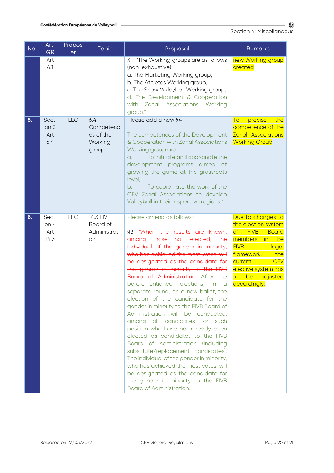| No. | Art.<br><b>GR</b>                      | Propos<br>er | Topic                                             | Proposal                                                                                                                                                                                                                                                                                                                                                                                                                                                                                                                                                                                                                                                                                                                                                                                                                                                                                  | <b>Remarks</b>                                                                                                                                                                                                                                                |
|-----|----------------------------------------|--------------|---------------------------------------------------|-------------------------------------------------------------------------------------------------------------------------------------------------------------------------------------------------------------------------------------------------------------------------------------------------------------------------------------------------------------------------------------------------------------------------------------------------------------------------------------------------------------------------------------------------------------------------------------------------------------------------------------------------------------------------------------------------------------------------------------------------------------------------------------------------------------------------------------------------------------------------------------------|---------------------------------------------------------------------------------------------------------------------------------------------------------------------------------------------------------------------------------------------------------------|
|     | Art<br>6.1                             |              |                                                   | § 1: "The Working groups are as follows<br>(non-exhaustive):<br>a. The Marketing Working group,<br>b. The Athletes Working group,<br>c. The Snow Volleyball Working group,<br>d. The Development & Cooperation<br>with Zonal Associations Working<br>group."                                                                                                                                                                                                                                                                                                                                                                                                                                                                                                                                                                                                                              | new Working group<br>created                                                                                                                                                                                                                                  |
| 5.  | Secti<br>on <sub>3</sub><br>Art<br>6.4 | <b>ELC</b>   | 6.4<br>Competenc<br>es of the<br>Working<br>group | Please add a new §4 :<br>The competences of the Development<br>& Cooperation with Zonal Associations<br>Working group are:<br>To inititate and coordinate the<br>a.<br>development programs aimed at<br>growing the game at the grassroots<br>level,<br>b.<br>To coordinate the work of the<br>CEV Zonal Associations to develop<br>Volleyball in their respective regions."                                                                                                                                                                                                                                                                                                                                                                                                                                                                                                              | precise<br>To<br>the<br>competence of the<br><b>Zonal Associations</b><br><b>Working Group</b>                                                                                                                                                                |
| 6.  | Secti<br>on 4<br>Art<br>14.3           | <b>ELC</b>   | 14.3 FIVB<br>Board of<br>Administrati<br>on       | Please amend as follows:<br>§3 "When the results<br>are known,<br>among those not elected, the<br>individual of the gender in minority,<br>who has achieved the most votes, will<br>be designated as the candidate for<br>the gender in minority to the FIVB<br>Board of Administration. After the<br>beforementioned elections, in a<br>separate round, on a new ballot, the<br>election of the candidate for the<br>gender in minority to the FIVB Board of<br>Administration will be conducted,<br>among all candidates for such<br>position who have not already been<br>elected as candidates to the FIVB<br>Board of Administration (including<br>substitute/replacement candidates).<br>The individual of the gender in minority,<br>who has achieved the most votes, will<br>be designated as the candidate for<br>the gender in minority to the FIVB<br>Board of Administration. | Due to changes to<br>the election system<br>$\overline{\mathsf{of}}$<br><b>FIVB</b><br><b>Board</b><br>members<br>in the<br><b>FIVB</b><br>legal<br>framework,<br>the<br><b>CEV</b><br>current<br>elective system has<br>be<br>adjusted<br>to<br>accordingly. |